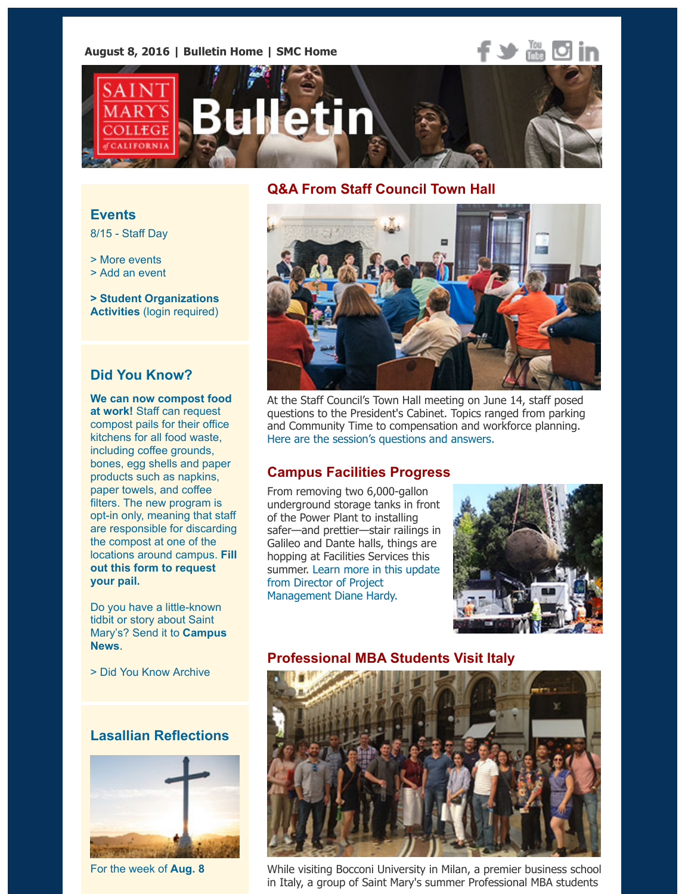## **Q&A From Staff Council Town Hall**

#### **Events**

8/15 - Staff Day

> More events

> Add an event

**> Student Organizations Activities** (login required)

## **Did You Know?**

**We c[an now co](http://www.stmarys-ca.edu/staff-day-0?utm_source=Bulletin&utm_medium=email&utm_content=event_test&utm_campaign=08-08-2016)mpost food [at work!](http://www.stmarys-ca.edu/events?utm_source=Bulletin&utm_medium=email&utm_content=event_test&utm_campaign=08-08-2016)** Staff can request [compost pails fo](http://www.stmarys-ca.edu/node/add/calendar-event?utm_source=Bulletin&utm_medium=email&utm_content=event_test&utm_campaign=08-08-2016)r their office kitchens for all food waste, including coffee grounds, [bones, egg shells and pap](https://stmarys-ca-community.symplicity.com/)er products such as napkins, paper towels, and coffee filters. The new program is opt-in only, meaning that staff are responsible for discarding the compost at one of the [locations around campus.](http://www.stmarys-ca.edu/sustainability/greening-our-campus/waste-and-recycling?utm_source=Bulletin&utm_medium=email&utm_content=sidebar_test&utm_campaign=08-08-2016) **Fill out this form to request your pail.**

Do you have a little-known tidbit or story about Saint Mary's? Send it to **Campus News**.



At the Staff Council's Town Hall meeting on June 14, staff pose questions to the President's Cabinet. Topics ranged from park and Community Time to compensation and workforce planning Here are the session's questions and answers.

### **Campus Facilities Progress**

From removing two 6,000-gallon underground storage tanks in front of the Power Plant to installing safer—and prettier—stair railings in Galileo and Dante halls, things are hopping at Facilities Services this summer. Learn more in this update from Director of Project [Management Diane Hardy.](http://www.stmarys-ca.edu/2016-town-hall-report-formerly-rumor-mill?utm_source=Bulletin&utm_medium=email&utm_content=feature_test&utm_campaign=08-08-2016)



### **Professional MBA Students Visit Italy**



While visiting Bocconi University in Milan, a premier business in Italy, a group of Saint Mary's summer Professional MBA stu

> Did You Know Archive

## **[Lasallian Reflections](https://docs.google.com/a/stmarys-ca.edu/forms/d/e/1FAIpQLScTwLjSgiy7Pr3hrFMAnvf5qOi8I6-ZMH9Hc2BgX_tfF6jCbg/viewform)**



For the week of **Aug. 8**